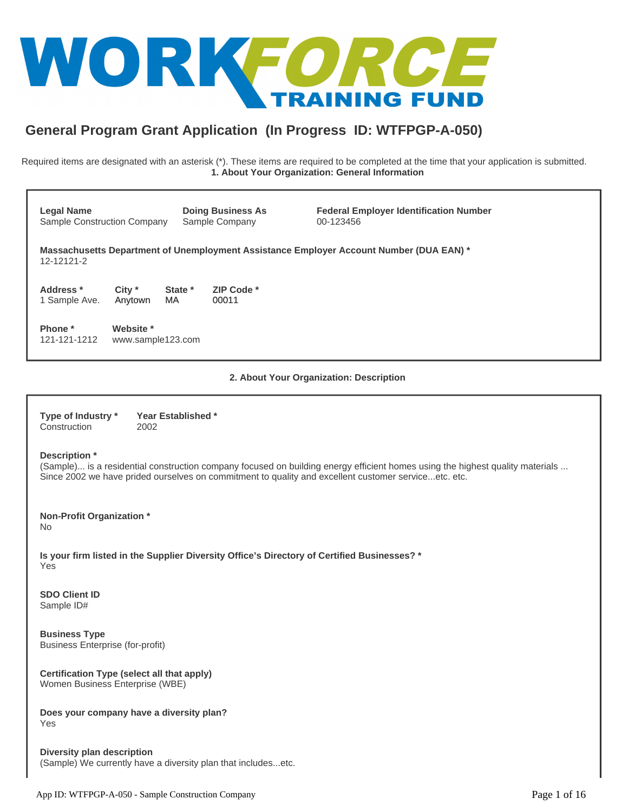

# **General Program Grant Application (In Progress ID: WTFPGP-A-050)**

Required items are designated with an asterisk (\*). These items are required to be completed at the time that your application is submitted. **1. About Your Organization: General Information**

| <b>Legal Name</b><br>Sample Construction Company |                                |                | <b>Doing Business As</b><br>Sample Company | <b>Federal Employer Identification Number</b><br>00-123456                              |
|--------------------------------------------------|--------------------------------|----------------|--------------------------------------------|-----------------------------------------------------------------------------------------|
| 12-12121-2                                       |                                |                |                                            | Massachusetts Department of Unemployment Assistance Employer Account Number (DUA EAN) * |
| Address *<br>1 Sample Ave.                       | $City *$<br>Anytown            | State *<br>MA. | ZIP Code *<br>00011                        |                                                                                         |
| Phone *<br>121-121-1212                          | Website *<br>www.sample123.com |                |                                            |                                                                                         |
|                                                  |                                |                |                                            |                                                                                         |

**2. About Your Organization: Description**

| Type of Industry * | Year Established * |
|--------------------|--------------------|
| Construction       | 2002               |

#### **Description \***

(Sample)... is a residential construction company focused on building energy efficient homes using the highest quality materials ... Since 2002 we have prided ourselves on commitment to quality and excellent customer service...etc. etc.

**Non-Profit Organization \*** No

**Is your firm listed in the Supplier Diversity Office's Directory of Certified Businesses? \*** Yes

**SDO Client ID** Sample ID#

**Business Type** Business Enterprise (for-profit)

**Certification Type (select all that apply)** Women Business Enterprise (WBE)

**Does your company have a diversity plan?** Yes

**Diversity plan description** (Sample) We currently have a diversity plan that includes...etc.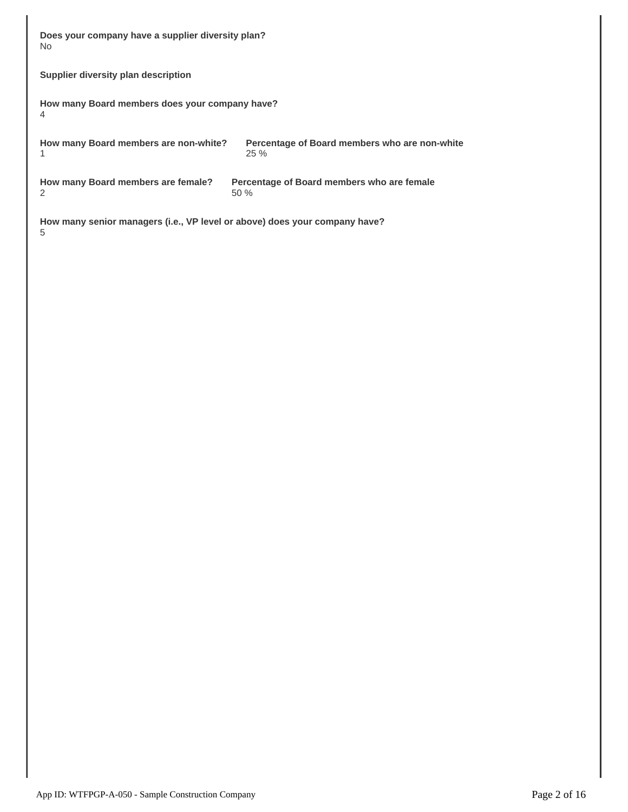| Does your company have a supplier diversity plan?<br>No.                                                 |                                                      |  |  |  |  |  |  |
|----------------------------------------------------------------------------------------------------------|------------------------------------------------------|--|--|--|--|--|--|
| Supplier diversity plan description                                                                      |                                                      |  |  |  |  |  |  |
| 4                                                                                                        | How many Board members does your company have?       |  |  |  |  |  |  |
| How many Board members are non-white?<br>1                                                               | Percentage of Board members who are non-white<br>25% |  |  |  |  |  |  |
| How many Board members are female?<br>Percentage of Board members who are female<br>$\mathcal{P}$<br>50% |                                                      |  |  |  |  |  |  |
| How many senior managers (i.e., VP level or above) does your company have?                               |                                                      |  |  |  |  |  |  |

App ID: WTFPGP-A-050 - Sample Construction Company Page 2 of 16

5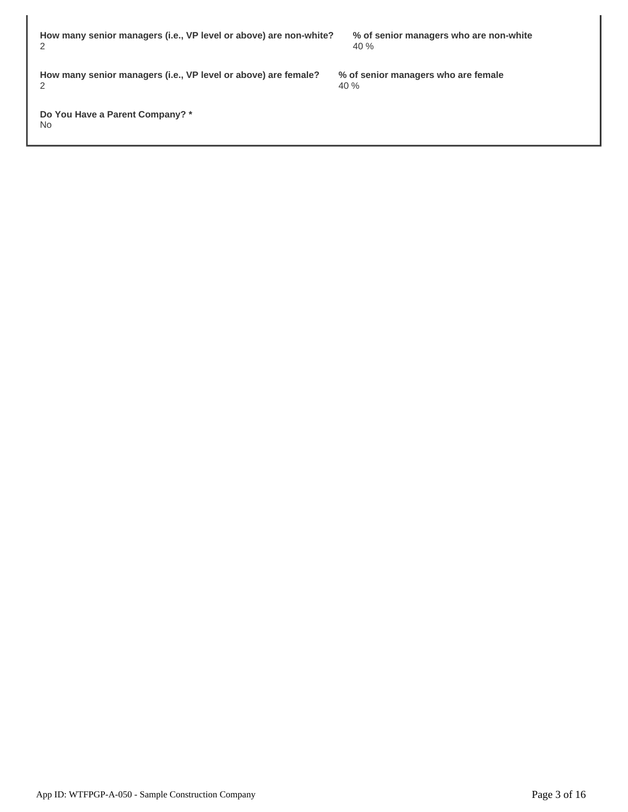**How many senior managers (i.e., VP level or above) are non-white?** 2

> **% of senior managers who are female** 40 %

40 %

**How many senior managers (i.e., VP level or above) are female?** 2

**Do You Have a Parent Company? \*** No

**% of senior managers who are non-white**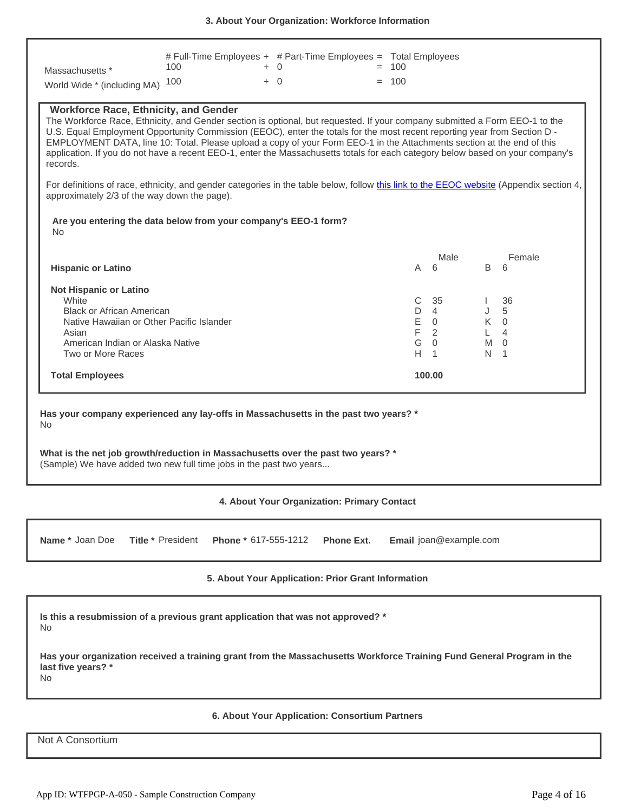| Massachusetts *<br>World Wide * (including MA)                                                                                                                                                                                                                                                                                                                                                                                                                                                                                                                                   | # Full-Time Employees + # Part-Time Employees = Total Employees<br>100<br>100 | $+ 0$<br>$+ 0$ |                                             | $= 100$<br>$= 100$           |                                                                     |                  |                                                                        |
|----------------------------------------------------------------------------------------------------------------------------------------------------------------------------------------------------------------------------------------------------------------------------------------------------------------------------------------------------------------------------------------------------------------------------------------------------------------------------------------------------------------------------------------------------------------------------------|-------------------------------------------------------------------------------|----------------|---------------------------------------------|------------------------------|---------------------------------------------------------------------|------------------|------------------------------------------------------------------------|
| <b>Workforce Race, Ethnicity, and Gender</b><br>The Workforce Race, Ethnicity, and Gender section is optional, but requested. If your company submitted a Form EEO-1 to the<br>U.S. Equal Employment Opportunity Commission (EEOC), enter the totals for the most recent reporting year from Section D -<br>EMPLOYMENT DATA, line 10: Total. Please upload a copy of your Form EEO-1 in the Attachments section at the end of this<br>application. If you do not have a recent EEO-1, enter the Massachusetts totals for each category below based on your company's<br>records. |                                                                               |                |                                             |                              |                                                                     |                  |                                                                        |
| For definitions of race, ethnicity, and gender categories in the table below, follow this link to the EEOC website (Appendix section 4,<br>approximately 2/3 of the way down the page).                                                                                                                                                                                                                                                                                                                                                                                          |                                                                               |                |                                             |                              |                                                                     |                  |                                                                        |
| Are you entering the data below from your company's EEO-1 form?<br><b>No</b>                                                                                                                                                                                                                                                                                                                                                                                                                                                                                                     |                                                                               |                |                                             |                              |                                                                     |                  |                                                                        |
| <b>Hispanic or Latino</b>                                                                                                                                                                                                                                                                                                                                                                                                                                                                                                                                                        |                                                                               |                |                                             | A                            | Male<br>6                                                           | B                | Female<br>6                                                            |
| <b>Not Hispanic or Latino</b><br>White<br><b>Black or African American</b><br>Native Hawaiian or Other Pacific Islander<br>Asian<br>American Indian or Alaska Native<br>Two or More Races                                                                                                                                                                                                                                                                                                                                                                                        |                                                                               |                |                                             | C<br>D<br>E<br>F.<br>G<br>H. | 35<br>$\overline{4}$<br>$\Omega$<br>2<br>$\Omega$<br>$\overline{1}$ | J<br>L<br>M<br>N | 36<br>5<br>$K \quad 0$<br>$\overline{4}$<br>$\Omega$<br>$\overline{1}$ |
| <b>Total Employees</b>                                                                                                                                                                                                                                                                                                                                                                                                                                                                                                                                                           |                                                                               |                |                                             |                              | 100.00                                                              |                  |                                                                        |
| Has your company experienced any lay-offs in Massachusetts in the past two years? *<br>No.<br>What is the net job growth/reduction in Massachusetts over the past two years? *<br>(Sample) We have added two new full time jobs in the past two years                                                                                                                                                                                                                                                                                                                            |                                                                               |                |                                             |                              |                                                                     |                  |                                                                        |
|                                                                                                                                                                                                                                                                                                                                                                                                                                                                                                                                                                                  |                                                                               |                | 4. About Your Organization: Primary Contact |                              |                                                                     |                  |                                                                        |

**Name \*** Joan Doe Title \* President Phone \* 617-555-1212 Phone Ext. Email joan@example.com

# **5. About Your Application: Prior Grant Information**

**Is this a resubmission of a previous grant application that was not approved? \*** No

**Has your organization received a training grant from the Massachusetts Workforce Training Fund General Program in the last five years? \*** No

## **6. About Your Application: Consortium Partners**

Not A Consortium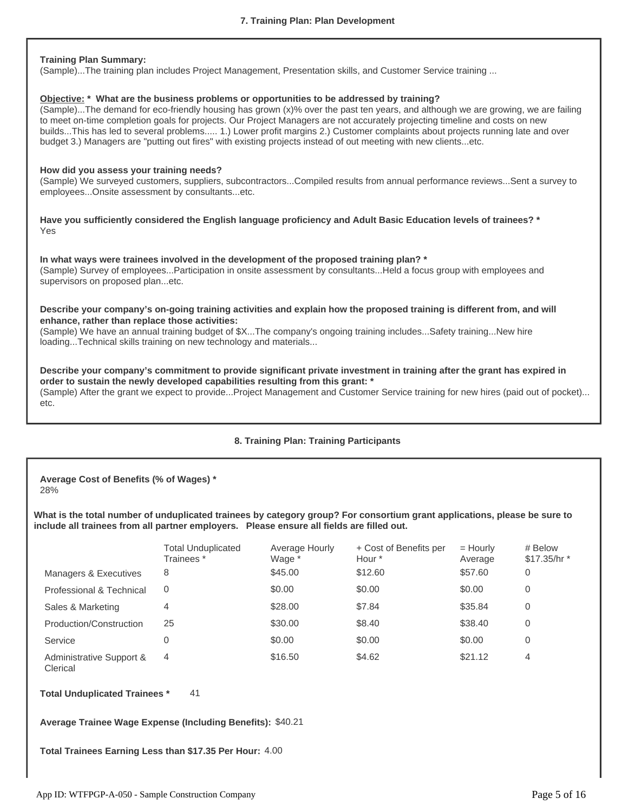### **Training Plan Summary:**

(Sample)...The training plan includes Project Management, Presentation skills, and Customer Service training ...

#### **Objective: \* What are the business problems or opportunities to be addressed by training?**

(Sample)...The demand for eco-friendly housing has grown (x)% over the past ten years, and although we are growing, we are failing to meet on-time completion goals for projects. Our Project Managers are not accurately projecting timeline and costs on new builds...This has led to several problems..... 1.) Lower profit margins 2.) Customer complaints about projects running late and over budget 3.) Managers are "putting out fires" with existing projects instead of out meeting with new clients...etc.

#### **How did you assess your training needs?**

(Sample) We surveyed customers, suppliers, subcontractors...Compiled results from annual performance reviews...Sent a survey to employees...Onsite assessment by consultants...etc.

**Have you sufficiently considered the English language proficiency and Adult Basic Education levels of trainees? \*** Yes

**In what ways were trainees involved in the development of the proposed training plan? \*** (Sample) Survey of employees...Participation in onsite assessment by consultants...Held a focus group with employees and supervisors on proposed plan...etc.

#### **Describe your company's on-going training activities and explain how the proposed training is different from, and will enhance, rather than replace those activities:**

(Sample) We have an annual training budget of \$X...The company's ongoing training includes...Safety training...New hire loading...Technical skills training on new technology and materials...

**Describe your company's commitment to provide significant private investment in training after the grant has expired in order to sustain the newly developed capabilities resulting from this grant: \*** (Sample) After the grant we expect to provide...Project Management and Customer Service training for new hires (paid out of pocket)... etc.

# **8. Training Plan: Training Participants**

**Average Cost of Benefits (% of Wages) \*** 28%

**What is the total number of unduplicated trainees by category group? For consortium grant applications, please be sure to include all trainees from all partner employers. Please ensure all fields are filled out.**

|                                      | Total Unduplicated<br>Trainees * | Average Hourly<br>Wage * | + Cost of Benefits per<br>Hour * | $=$ Hourly<br>Average | # Below<br>\$17.35/hr * |
|--------------------------------------|----------------------------------|--------------------------|----------------------------------|-----------------------|-------------------------|
| Managers & Executives                | 8                                | \$45.00                  | \$12.60                          | \$57.60               | 0                       |
| Professional & Technical             | 0                                | \$0.00                   | \$0.00                           | \$0.00                | 0                       |
| Sales & Marketing                    | 4                                | \$28.00                  | \$7.84                           | \$35.84               | 0                       |
| Production/Construction              | 25                               | \$30.00                  | \$8.40                           | \$38.40               | 0                       |
| Service                              | 0                                | \$0.00                   | \$0.00                           | \$0.00                | 0                       |
| Administrative Support &<br>Clerical | 4                                | \$16.50                  | \$4.62                           | \$21.12               | 4                       |

**Total Unduplicated Trainees \*** 41

**Average Trainee Wage Expense (Including Benefits):** \$40.21

**Total Trainees Earning Less than \$17.35 Per Hour:** 4.00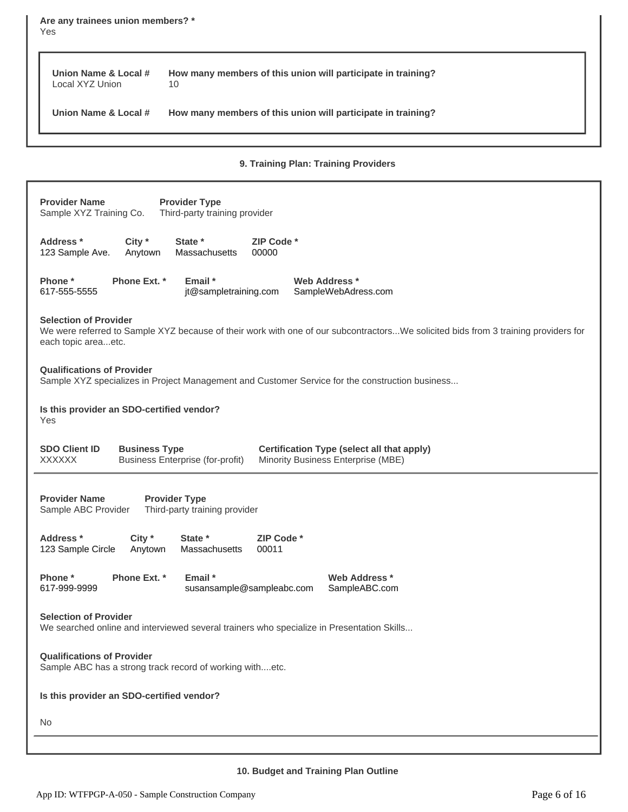**Are any trainees union members? \*** Yes **Union Name & Local # How many members of this union will participate in training? Union Name & Local # How many members of this union will participate in training?** Local XYZ Union 10

**9. Training Plan: Training Providers**

| <b>Provider Name</b><br><b>Provider Type</b><br>Third-party training provider<br>Sample XYZ Training Co.                                                                                            |  |  |  |  |  |  |
|-----------------------------------------------------------------------------------------------------------------------------------------------------------------------------------------------------|--|--|--|--|--|--|
| Address *<br>City $*$<br>State *<br>ZIP Code *<br>123 Sample Ave.<br>Anytown<br><b>Massachusetts</b><br>00000                                                                                       |  |  |  |  |  |  |
| Phone *<br>Phone Ext. *<br>Email *<br>Web Address *<br>617-555-5555<br>jt@sampletraining.com<br>SampleWebAdress.com                                                                                 |  |  |  |  |  |  |
| <b>Selection of Provider</b><br>We were referred to Sample XYZ because of their work with one of our subcontractorsWe solicited bids from 3 training providers for<br>each topic areaetc.           |  |  |  |  |  |  |
| <b>Qualifications of Provider</b><br>Sample XYZ specializes in Project Management and Customer Service for the construction business                                                                |  |  |  |  |  |  |
| Is this provider an SDO-certified vendor?<br>Yes                                                                                                                                                    |  |  |  |  |  |  |
| <b>SDO Client ID</b><br><b>Business Type</b><br><b>Certification Type (select all that apply)</b><br><b>XXXXXX</b><br><b>Business Enterprise (for-profit)</b><br>Minority Business Enterprise (MBE) |  |  |  |  |  |  |
| <b>Provider Name</b><br><b>Provider Type</b><br>Third-party training provider<br>Sample ABC Provider                                                                                                |  |  |  |  |  |  |
| Address *<br>City *<br>State *<br>ZIP Code *<br>123 Sample Circle<br>Anytown<br>Massachusetts<br>00011                                                                                              |  |  |  |  |  |  |
| Phone Ext. *<br>Phone *<br>Email *<br>Web Address *<br>617-999-9999<br>susansample@sampleabc.com<br>SampleABC.com                                                                                   |  |  |  |  |  |  |
| <b>Selection of Provider</b><br>We searched online and interviewed several trainers who specialize in Presentation Skills                                                                           |  |  |  |  |  |  |
| <b>Qualifications of Provider</b><br>Sample ABC has a strong track record of working withetc.                                                                                                       |  |  |  |  |  |  |
| Is this provider an SDO-certified vendor?                                                                                                                                                           |  |  |  |  |  |  |
|                                                                                                                                                                                                     |  |  |  |  |  |  |
| No.                                                                                                                                                                                                 |  |  |  |  |  |  |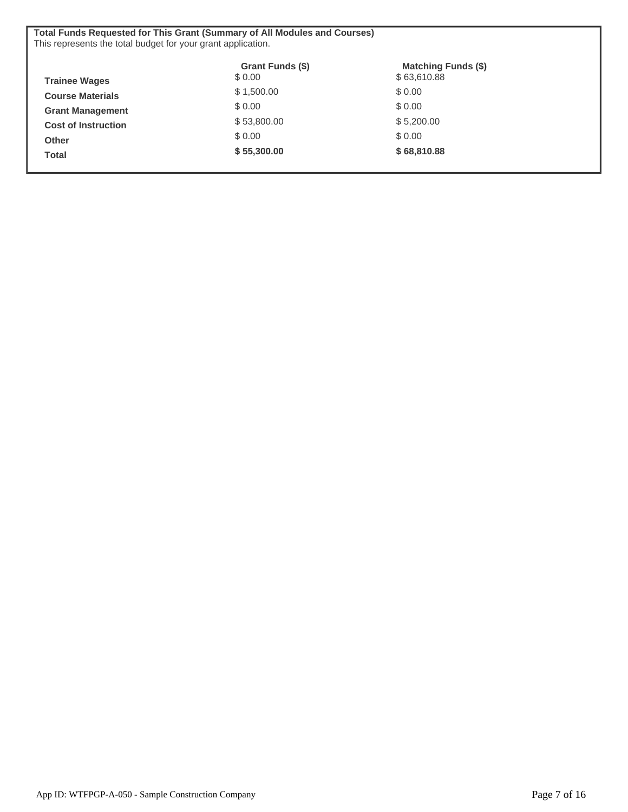| <b>Total Funds Requested for This Grant (Summary of All Modules and Courses)</b><br>This represents the total budget for your grant application. |                             |                                           |  |  |  |
|--------------------------------------------------------------------------------------------------------------------------------------------------|-----------------------------|-------------------------------------------|--|--|--|
| <b>Trainee Wages</b>                                                                                                                             | Grant Funds (\$)<br>\$ 0.00 | <b>Matching Funds (\$)</b><br>\$63,610.88 |  |  |  |
| <b>Course Materials</b>                                                                                                                          | \$1,500.00                  | \$ 0.00                                   |  |  |  |
| <b>Grant Management</b>                                                                                                                          | \$0.00                      | \$ 0.00                                   |  |  |  |
| <b>Cost of Instruction</b>                                                                                                                       | \$53,800.00                 | \$5,200.00                                |  |  |  |
| <b>Other</b>                                                                                                                                     | \$0.00                      | \$ 0.00                                   |  |  |  |
| <b>Total</b>                                                                                                                                     | \$55,300.00                 | \$68,810.88                               |  |  |  |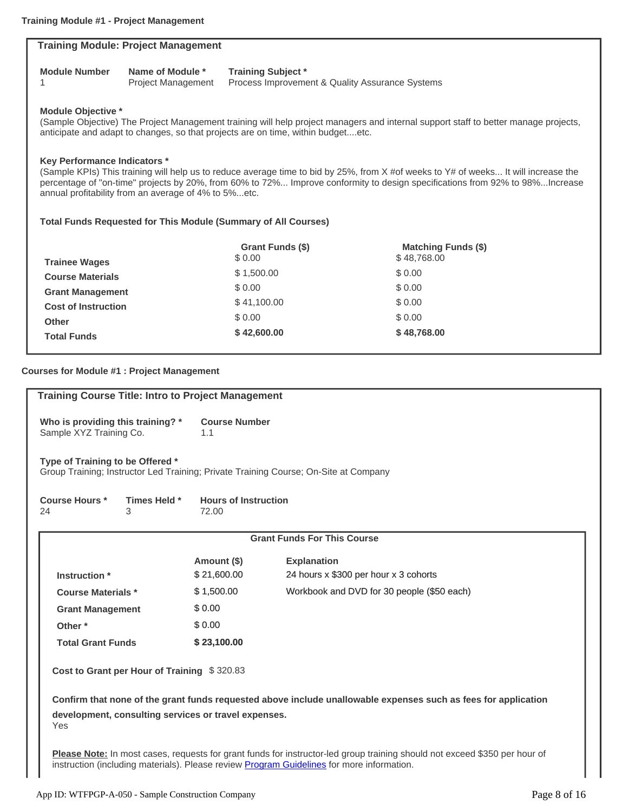|                                     | <b>Training Module: Project Management</b>           |                                                                                  |                                                                                                                                     |
|-------------------------------------|------------------------------------------------------|----------------------------------------------------------------------------------|-------------------------------------------------------------------------------------------------------------------------------------|
| <b>Module Number</b><br>1           | Name of Module *<br><b>Project Management</b>        | <b>Training Subject*</b><br>Process Improvement & Quality Assurance Systems      |                                                                                                                                     |
| <b>Module Objective *</b>           |                                                      | anticipate and adapt to changes, so that projects are on time, within budgetetc. | (Sample Objective) The Project Management training will help project managers and internal support staff to better manage projects, |
| <b>Key Performance Indicators *</b> |                                                      |                                                                                  | (Sample KPIs) This training will help us to reduce average time to bid by 25%, from X #of weeks to Y# of weeks It will increase the |
|                                     | annual profitability from an average of 4% to 5%etc. |                                                                                  | percentage of "on-time" projects by 20%, from 60% to 72% Improve conformity to design specifications from 92% to 98%Increase        |
|                                     |                                                      | <b>Total Funds Requested for This Module (Summary of All Courses)</b>            |                                                                                                                                     |
|                                     |                                                      | Grant Funds (\$)<br>\$0.00                                                       | <b>Matching Funds (\$)</b><br>\$48,768.00                                                                                           |
| <b>Trainee Wages</b>                |                                                      | \$1,500.00                                                                       | \$0.00                                                                                                                              |
| <b>Course Materials</b>             |                                                      | \$0.00                                                                           | \$0.00                                                                                                                              |
| <b>Grant Management</b>             |                                                      | \$41,100.00                                                                      | \$0.00                                                                                                                              |
| <b>Cost of Instruction</b><br>Other |                                                      | \$0.00                                                                           | \$0.00                                                                                                                              |

# **Courses for Module #1 : Project Management Training Course Title: Intro to Project Management Who is providing this training? \* Course Number Type of Training to be Offered \* Course Hours \* Times Held \* Hours of Instruction Grant Funds For This Course Amount (\$) Explanation Instruction \*** \$ 21,600.00 24 hours x \$300 per hour x 3 cohorts **Course Materials \*** \$ 1,500.00 Workbook and DVD for 30 people (\$50 each) Grant Management \$ 0.00 **Other \***  $$0.00$ **Total Grant Funds \$ 23,100.00 Cost to Grant per Hour of Training** \$ 320.83**Confirm that none of the grant funds requested above include unallowable expenses such as fees for application development, consulting services or travel expenses.** Yes **Please Note:** In most cases, requests for grant funds for instructor-led group training should not exceed \$350 per hour of instruction (including materials). Please review **[Program Guidelines](http://workforcetrainingfund.org/apply/general-program/general-program-training-grant-request-applications/#program-guidelines)** for more information. Sample XYZ Training Co. 1.1 Group Training; Instructor Led Training; Private Training Course; On-Site at Company 24 3 72.00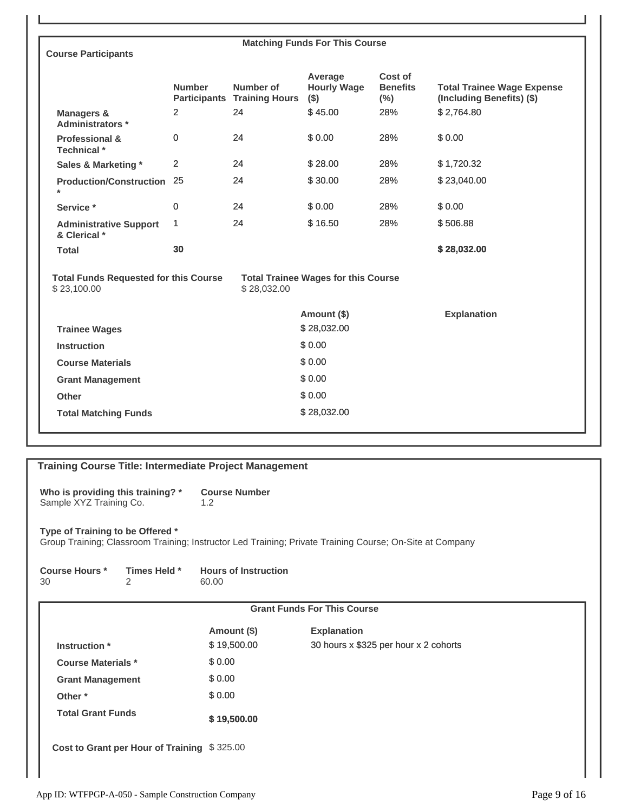| <b>Course Participants</b>                                  |               |                                                 | <b>Matching Funds For This Course</b>      |                                       |                                                                |
|-------------------------------------------------------------|---------------|-------------------------------------------------|--------------------------------------------|---------------------------------------|----------------------------------------------------------------|
|                                                             | <b>Number</b> | Number of<br><b>Participants Training Hours</b> | Average<br><b>Hourly Wage</b><br>$($ \$)   | Cost of<br><b>Benefits</b><br>$(\% )$ | <b>Total Trainee Wage Expense</b><br>(Including Benefits) (\$) |
| <b>Managers &amp;</b><br>Administrators *                   | 2             | 24                                              | \$45.00                                    | 28%                                   | \$2.764.80                                                     |
| <b>Professional &amp;</b><br>Technical *                    | 0             | 24                                              | \$0.00                                     | 28%                                   | \$0.00                                                         |
| Sales & Marketing *                                         | 2             | 24                                              | \$28.00                                    | 28%                                   | \$1,720.32                                                     |
| <b>Production/Construction 25</b><br>$\star$                |               | 24                                              | \$30.00                                    | 28%                                   | \$23,040.00                                                    |
| Service *                                                   | $\mathbf 0$   | 24                                              | \$0.00                                     | 28%                                   | \$0.00                                                         |
| <b>Administrative Support</b><br>& Clerical *               | 1             | 24                                              | \$16.50                                    | 28%                                   | \$506.88                                                       |
| <b>Total</b>                                                | 30            |                                                 |                                            |                                       | \$28,032.00                                                    |
| <b>Total Funds Requested for this Course</b><br>\$23,100.00 |               | \$28,032.00                                     | <b>Total Trainee Wages for this Course</b> |                                       |                                                                |
|                                                             |               |                                                 | Amount (\$)                                |                                       | <b>Explanation</b>                                             |
|                                                             |               |                                                 |                                            |                                       |                                                                |
| <b>Trainee Wages</b>                                        |               |                                                 | \$28,032.00                                |                                       |                                                                |
| <b>Instruction</b>                                          |               |                                                 | \$0.00                                     |                                       |                                                                |
| <b>Course Materials</b>                                     |               |                                                 | \$0.00                                     |                                       |                                                                |
| <b>Grant Management</b>                                     |               |                                                 | \$0.00                                     |                                       |                                                                |
| Other                                                       |               |                                                 | \$0.00                                     |                                       |                                                                |

| <b>Training Course Title: Intermediate Project Management</b>                                                                                |                                             |                                      |                                       |  |  |
|----------------------------------------------------------------------------------------------------------------------------------------------|---------------------------------------------|--------------------------------------|---------------------------------------|--|--|
| Who is providing this training? *<br>Sample XYZ Training Co.                                                                                 |                                             | <b>Course Number</b><br>1.2          |                                       |  |  |
| Type of Training to be Offered *<br>Group Training; Classroom Training; Instructor Led Training; Private Training Course; On-Site at Company |                                             |                                      |                                       |  |  |
| <b>Course Hours *</b><br>30                                                                                                                  | Times Held *<br>2                           | <b>Hours of Instruction</b><br>60.00 |                                       |  |  |
|                                                                                                                                              |                                             |                                      | <b>Grant Funds For This Course</b>    |  |  |
|                                                                                                                                              |                                             | Amount (\$)                          | <b>Explanation</b>                    |  |  |
| Instruction *                                                                                                                                |                                             | \$19,500.00                          | 30 hours x \$325 per hour x 2 cohorts |  |  |
| <b>Course Materials *</b>                                                                                                                    |                                             | \$0.00                               |                                       |  |  |
| <b>Grant Management</b>                                                                                                                      |                                             | \$0.00                               |                                       |  |  |
| Other *                                                                                                                                      |                                             | \$0.00                               |                                       |  |  |
| <b>Total Grant Funds</b>                                                                                                                     |                                             | \$19,500.00                          |                                       |  |  |
|                                                                                                                                              | Cost to Grant per Hour of Training \$325.00 |                                      |                                       |  |  |

 $\overline{\phantom{a}}$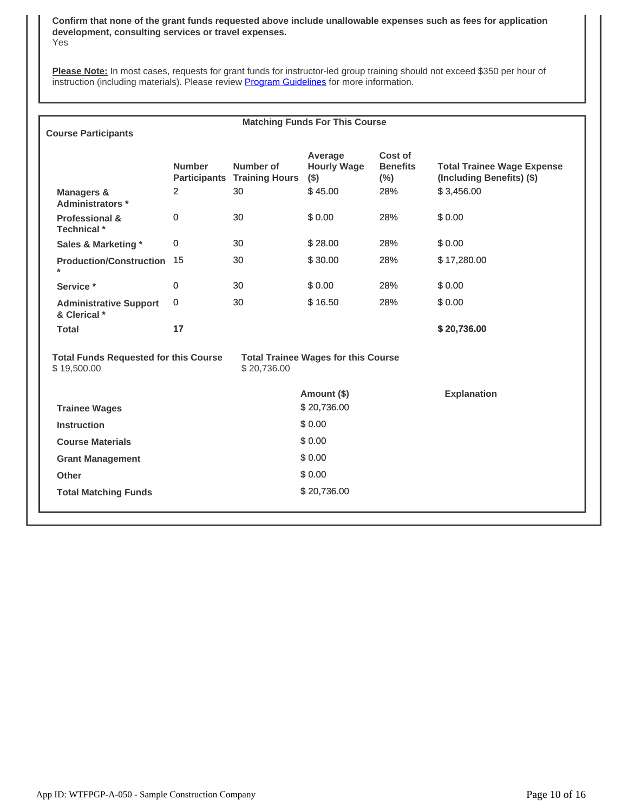**Confirm that none of the grant funds requested above include unallowable expenses such as fees for application development, consulting services or travel expenses.** Yes

**Please Note:** In most cases, requests for grant funds for instructor-led group training should not exceed \$350 per hour of instruction (including materials). Please review [Program Guidelines](http://workforcetrainingfund.org/apply/general-program/general-program-training-grant-request-applications/#program-guidelines) for more information.

| <b>Matching Funds For This Course</b>                       |                |                                                 |                                            |                                      |                                                                |
|-------------------------------------------------------------|----------------|-------------------------------------------------|--------------------------------------------|--------------------------------------|----------------------------------------------------------------|
| <b>Course Participants</b>                                  |                |                                                 |                                            |                                      |                                                                |
|                                                             | <b>Number</b>  | Number of<br><b>Participants Training Hours</b> | Average<br><b>Hourly Wage</b><br>$($ \$)   | Cost of<br><b>Benefits</b><br>$(\%)$ | <b>Total Trainee Wage Expense</b><br>(Including Benefits) (\$) |
| <b>Managers &amp;</b><br>Administrators *                   | $\overline{2}$ | 30                                              | \$45.00                                    | 28%                                  | \$3,456.00                                                     |
| <b>Professional &amp;</b><br>Technical *                    | 0              | 30                                              | \$0.00                                     | 28%                                  | \$0.00                                                         |
| Sales & Marketing *                                         | $\Omega$       | 30                                              | \$28.00                                    | 28%                                  | \$0.00                                                         |
| <b>Production/Construction 15</b><br>$\star$                |                | 30                                              | \$30.00                                    | 28%                                  | \$17,280.00                                                    |
| Service*                                                    | 0              | 30                                              | \$0.00                                     | 28%                                  | \$0.00                                                         |
| <b>Administrative Support</b><br>& Clerical *               | 0              | 30                                              | \$16.50                                    | 28%                                  | \$0.00                                                         |
| <b>Total</b>                                                | 17             |                                                 |                                            |                                      | \$20,736.00                                                    |
| <b>Total Funds Requested for this Course</b><br>\$19,500.00 |                | \$20,736.00                                     | <b>Total Trainee Wages for this Course</b> |                                      |                                                                |
|                                                             |                |                                                 | Amount (\$)                                |                                      | <b>Explanation</b>                                             |
| <b>Trainee Wages</b>                                        |                |                                                 | \$20,736.00                                |                                      |                                                                |
| <b>Instruction</b>                                          |                |                                                 | \$0.00                                     |                                      |                                                                |
| <b>Course Materials</b>                                     |                |                                                 | \$0.00                                     |                                      |                                                                |
| <b>Grant Management</b>                                     |                |                                                 | \$0.00                                     |                                      |                                                                |
| Other                                                       |                |                                                 | \$0.00                                     |                                      |                                                                |
| <b>Total Matching Funds</b>                                 |                |                                                 | \$20,736.00                                |                                      |                                                                |
|                                                             |                |                                                 |                                            |                                      |                                                                |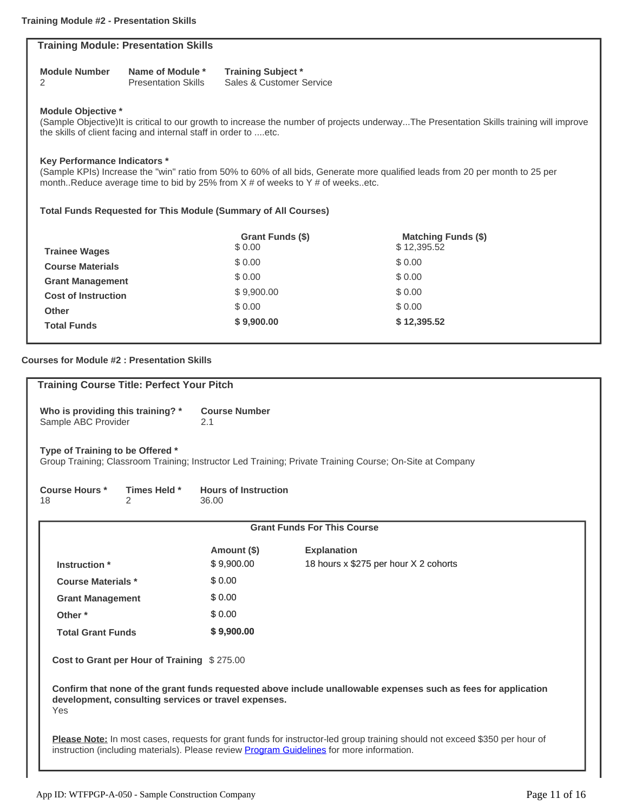| <b>Training Module: Presentation Skills</b>                                                                                                                                                                                              |                                                                                                                                                                                                                                                     |                                                                       |                            |  |  |  |  |
|------------------------------------------------------------------------------------------------------------------------------------------------------------------------------------------------------------------------------------------|-----------------------------------------------------------------------------------------------------------------------------------------------------------------------------------------------------------------------------------------------------|-----------------------------------------------------------------------|----------------------------|--|--|--|--|
|                                                                                                                                                                                                                                          |                                                                                                                                                                                                                                                     |                                                                       |                            |  |  |  |  |
| <b>Module Number</b><br>2                                                                                                                                                                                                                | Name of Module *<br><b>Presentation Skills</b>                                                                                                                                                                                                      | <b>Training Subject *</b><br>Sales & Customer Service                 |                            |  |  |  |  |
| <b>Module Objective *</b><br>(Sample Objective)It is critical to our growth to increase the number of projects underwayThe Presentation Skills training will improve<br>the skills of client facing and internal staff in order to  etc. |                                                                                                                                                                                                                                                     |                                                                       |                            |  |  |  |  |
|                                                                                                                                                                                                                                          | Key Performance Indicators *<br>(Sample KPIs) Increase the "win" ratio from 50% to 60% of all bids, Generate more qualified leads from 20 per month to 25 per<br>monthReduce average time to bid by 25% from $X \#$ of weeks to Y $\#$ of weeksetc. |                                                                       |                            |  |  |  |  |
|                                                                                                                                                                                                                                          |                                                                                                                                                                                                                                                     | <b>Total Funds Requested for This Module (Summary of All Courses)</b> |                            |  |  |  |  |
|                                                                                                                                                                                                                                          |                                                                                                                                                                                                                                                     | <b>Grant Funds (\$)</b>                                               | <b>Matching Funds (\$)</b> |  |  |  |  |
| <b>Trainee Wages</b>                                                                                                                                                                                                                     |                                                                                                                                                                                                                                                     | \$0.00                                                                | \$12,395.52                |  |  |  |  |
| <b>Course Materials</b>                                                                                                                                                                                                                  |                                                                                                                                                                                                                                                     | \$ 0.00                                                               | \$ 0.00                    |  |  |  |  |
| <b>Grant Management</b>                                                                                                                                                                                                                  |                                                                                                                                                                                                                                                     | \$0.00                                                                | \$0.00                     |  |  |  |  |
| <b>Cost of Instruction</b>                                                                                                                                                                                                               |                                                                                                                                                                                                                                                     | \$9,900.00                                                            | \$0.00                     |  |  |  |  |
| <b>Other</b>                                                                                                                                                                                                                             |                                                                                                                                                                                                                                                     | \$0.00                                                                | \$0.00                     |  |  |  |  |
| <b>Total Funds</b>                                                                                                                                                                                                                       |                                                                                                                                                                                                                                                     | \$9,900.00                                                            | \$12,395.52                |  |  |  |  |

# **Courses for Module #2 : Presentation Skills**

| <b>Training Course Title: Perfect Your Pitch</b>                                                                                                                                                                               |                                      |                                                                                                          |  |  |  |
|--------------------------------------------------------------------------------------------------------------------------------------------------------------------------------------------------------------------------------|--------------------------------------|----------------------------------------------------------------------------------------------------------|--|--|--|
| Who is providing this training? *<br>Sample ABC Provider                                                                                                                                                                       | <b>Course Number</b><br>2.1          |                                                                                                          |  |  |  |
| Type of Training to be Offered *                                                                                                                                                                                               |                                      | Group Training; Classroom Training; Instructor Led Training; Private Training Course; On-Site at Company |  |  |  |
| <b>Course Hours *</b><br>Times Held *<br>2<br>18                                                                                                                                                                               | <b>Hours of Instruction</b><br>36.00 |                                                                                                          |  |  |  |
|                                                                                                                                                                                                                                |                                      | <b>Grant Funds For This Course</b>                                                                       |  |  |  |
|                                                                                                                                                                                                                                | Amount (\$)                          | <b>Explanation</b>                                                                                       |  |  |  |
| Instruction *                                                                                                                                                                                                                  | \$9,900.00                           | 18 hours x \$275 per hour X 2 cohorts                                                                    |  |  |  |
| <b>Course Materials *</b>                                                                                                                                                                                                      | \$0.00                               |                                                                                                          |  |  |  |
| <b>Grant Management</b>                                                                                                                                                                                                        | \$0.00                               |                                                                                                          |  |  |  |
| Other <sup>*</sup>                                                                                                                                                                                                             | \$0.00                               |                                                                                                          |  |  |  |
| <b>Total Grant Funds</b>                                                                                                                                                                                                       | \$9,900.00                           |                                                                                                          |  |  |  |
| Cost to Grant per Hour of Training \$275.00                                                                                                                                                                                    |                                      |                                                                                                          |  |  |  |
| Confirm that none of the grant funds requested above include unallowable expenses such as fees for application<br>development, consulting services or travel expenses.<br>Yes                                                  |                                      |                                                                                                          |  |  |  |
| Please Note: In most cases, requests for grant funds for instructor-led group training should not exceed \$350 per hour of<br>instruction (including materials). Please review <b>Program Guidelines</b> for more information. |                                      |                                                                                                          |  |  |  |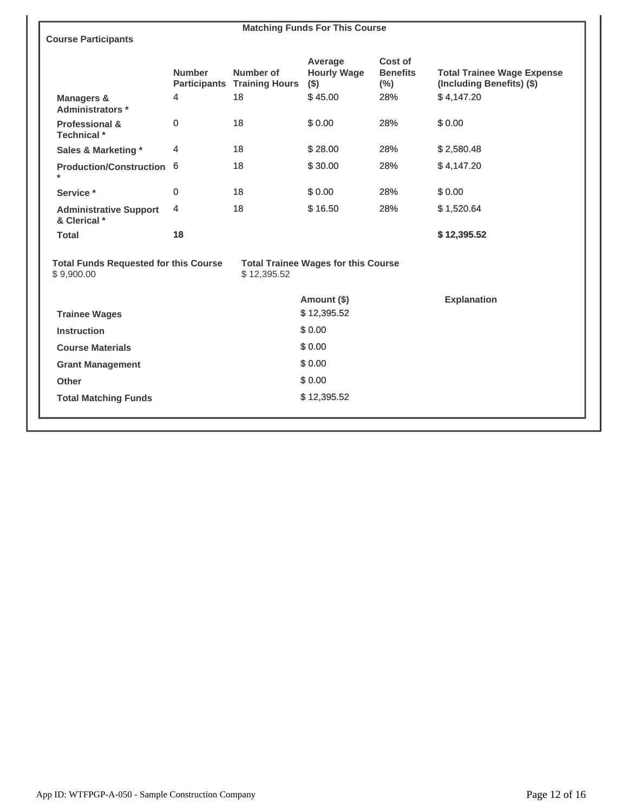| <b>Matching Funds For This Course</b>                                                                                   |               |                                                 |                                          |                                      |                                                                |
|-------------------------------------------------------------------------------------------------------------------------|---------------|-------------------------------------------------|------------------------------------------|--------------------------------------|----------------------------------------------------------------|
| <b>Course Participants</b>                                                                                              |               |                                                 |                                          |                                      |                                                                |
|                                                                                                                         | <b>Number</b> | Number of<br><b>Participants Training Hours</b> | Average<br><b>Hourly Wage</b><br>$($ \$) | Cost of<br><b>Benefits</b><br>$(\%)$ | <b>Total Trainee Wage Expense</b><br>(Including Benefits) (\$) |
| <b>Managers &amp;</b><br>Administrators *                                                                               | 4             | 18                                              | \$45.00                                  | 28%                                  | \$4,147.20                                                     |
| <b>Professional &amp;</b><br>Technical *                                                                                | 0             | 18                                              | \$0.00                                   | 28%                                  | \$0.00                                                         |
| Sales & Marketing *                                                                                                     | 4             | 18                                              | \$28.00                                  | 28%                                  | \$2,580.48                                                     |
| Production/Construction 6<br>$\star$                                                                                    |               | 18                                              | \$30.00                                  | 28%                                  | \$4,147.20                                                     |
| Service *                                                                                                               | 0             | 18                                              | \$0.00                                   | 28%                                  | \$0.00                                                         |
| <b>Administrative Support</b><br>& Clerical *                                                                           | 4             | 18                                              | \$16.50                                  | 28%                                  | \$1,520.64                                                     |
| <b>Total</b>                                                                                                            | 18            |                                                 |                                          |                                      | \$12,395.52                                                    |
| <b>Total Funds Requested for this Course</b><br><b>Total Trainee Wages for this Course</b><br>\$9,900.00<br>\$12,395.52 |               |                                                 |                                          |                                      |                                                                |
|                                                                                                                         |               |                                                 | Amount (\$)                              |                                      | <b>Explanation</b>                                             |
| <b>Trainee Wages</b>                                                                                                    |               |                                                 | \$12,395.52                              |                                      |                                                                |
| <b>Instruction</b>                                                                                                      |               |                                                 | \$0.00                                   |                                      |                                                                |
| <b>Course Materials</b>                                                                                                 |               |                                                 | \$0.00                                   |                                      |                                                                |
| <b>Grant Management</b>                                                                                                 |               |                                                 | \$0.00                                   |                                      |                                                                |
| Other                                                                                                                   |               |                                                 | \$0.00                                   |                                      |                                                                |
| <b>Total Matching Funds</b>                                                                                             |               |                                                 | \$12,395.52                              |                                      |                                                                |
|                                                                                                                         |               |                                                 |                                          |                                      |                                                                |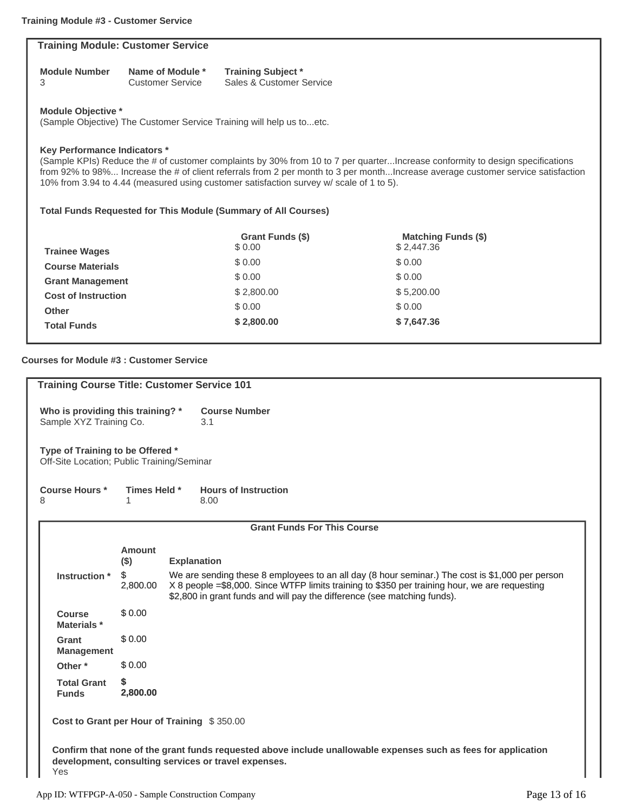|                                                                                                                                  | <b>Training Module: Customer Service</b>                                                   |                                             |                                                       |  |  |
|----------------------------------------------------------------------------------------------------------------------------------|--------------------------------------------------------------------------------------------|---------------------------------------------|-------------------------------------------------------|--|--|
|                                                                                                                                  | <b>Module Number</b><br>3                                                                  | Name of Module *<br><b>Customer Service</b> | <b>Training Subject *</b><br>Sales & Customer Service |  |  |
|                                                                                                                                  | Module Objective *<br>(Sample Objective) The Customer Service Training will help us toetc. |                                             |                                                       |  |  |
| <b>Key Performance Indicators *</b><br>(Sample KPIs) Reduce the # of customer complaints by 30% from 10 to 7 per quarterIncrease |                                                                                            |                                             |                                                       |  |  |

conformity to design specifications from 92% to 98%... Increase the # of client referrals from 2 per month to 3 per month...Increase average customer service satisfaction 10% from 3.94 to 4.44 (measured using customer satisfaction survey w/ scale of 1 to 5).

## **Total Funds Requested for This Module (Summary of All Courses)**

|                            | Grant Funds (\$) | <b>Matching Funds (\$)</b> |
|----------------------------|------------------|----------------------------|
| <b>Trainee Wages</b>       | \$ 0.00          | \$2,447.36                 |
| <b>Course Materials</b>    | \$0.00           | \$0.00                     |
| <b>Grant Management</b>    | \$0.00           | \$0.00                     |
| <b>Cost of Instruction</b> | \$2,800.00       | \$5,200.00                 |
| <b>Other</b>               | \$0.00           | \$0.00                     |
| <b>Total Funds</b>         | \$2,800.00       | \$7,647.36                 |

## **Courses for Module #3 : Customer Service**

| <b>Training Course Title: Customer Service 101</b>                                                                                                                            |                                                                                                                                                                                                                                                                                                 |                                     |  |  |
|-------------------------------------------------------------------------------------------------------------------------------------------------------------------------------|-------------------------------------------------------------------------------------------------------------------------------------------------------------------------------------------------------------------------------------------------------------------------------------------------|-------------------------------------|--|--|
| Who is providing this training? *<br>Sample XYZ Training Co.                                                                                                                  |                                                                                                                                                                                                                                                                                                 | <b>Course Number</b><br>3.1         |  |  |
| Type of Training to be Offered *<br>Off-Site Location; Public Training/Seminar                                                                                                |                                                                                                                                                                                                                                                                                                 |                                     |  |  |
| <b>Course Hours *</b><br>8                                                                                                                                                    | Times Held *                                                                                                                                                                                                                                                                                    | <b>Hours of Instruction</b><br>8.00 |  |  |
|                                                                                                                                                                               |                                                                                                                                                                                                                                                                                                 | <b>Grant Funds For This Course</b>  |  |  |
|                                                                                                                                                                               | Amount<br>$($ \$)                                                                                                                                                                                                                                                                               | <b>Explanation</b>                  |  |  |
| Instruction *                                                                                                                                                                 | \$<br>We are sending these 8 employees to an all day (8 hour seminar.) The cost is \$1,000 per person<br>X 8 people = \$8,000. Since WTFP limits training to \$350 per training hour, we are requesting<br>2,800.00<br>\$2,800 in grant funds and will pay the difference (see matching funds). |                                     |  |  |
| <b>Course</b><br>Materials *                                                                                                                                                  | \$0.00                                                                                                                                                                                                                                                                                          |                                     |  |  |
| Grant<br><b>Management</b>                                                                                                                                                    | \$0.00                                                                                                                                                                                                                                                                                          |                                     |  |  |
| Other <sup>*</sup>                                                                                                                                                            | \$0.00                                                                                                                                                                                                                                                                                          |                                     |  |  |
| <b>Total Grant</b><br><b>Funds</b>                                                                                                                                            | \$<br>2,800.00                                                                                                                                                                                                                                                                                  |                                     |  |  |
| Cost to Grant per Hour of Training \$350.00                                                                                                                                   |                                                                                                                                                                                                                                                                                                 |                                     |  |  |
| Confirm that none of the grant funds requested above include unallowable expenses such as fees for application<br>development, consulting services or travel expenses.<br>Yes |                                                                                                                                                                                                                                                                                                 |                                     |  |  |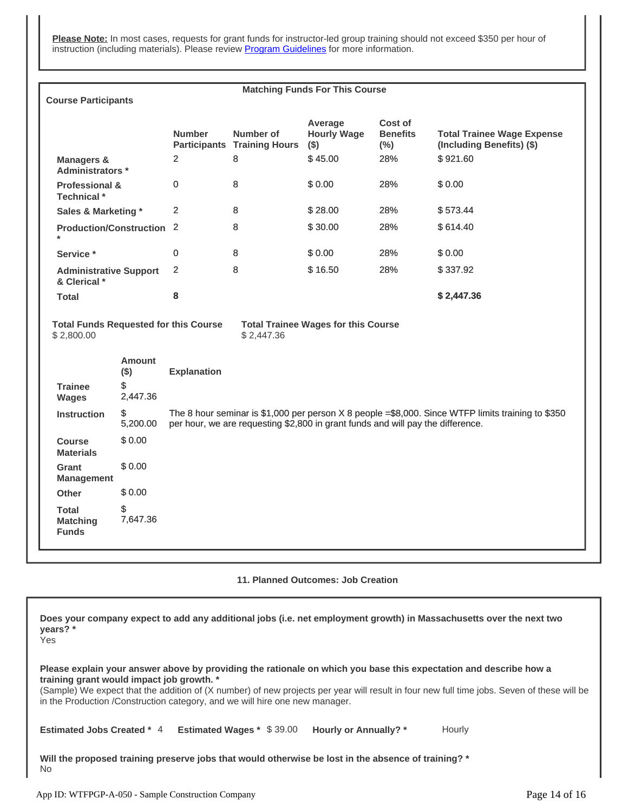**Please Note:** In most cases, requests for grant funds for instructor-led group training should not exceed \$350 per hour of instruction (including materials). Please review [Program Guidelines](http://workforcetrainingfund.org/apply/general-program/general-program-training-grant-request-applications/#program-guidelines) for more information.

| <b>Matching Funds For This Course</b>                                                                                  |                                            |                                                                                                                                                                                      |                                                 |                                          |                                       |                                                                |
|------------------------------------------------------------------------------------------------------------------------|--------------------------------------------|--------------------------------------------------------------------------------------------------------------------------------------------------------------------------------------|-------------------------------------------------|------------------------------------------|---------------------------------------|----------------------------------------------------------------|
| <b>Course Participants</b>                                                                                             |                                            |                                                                                                                                                                                      |                                                 |                                          |                                       |                                                                |
|                                                                                                                        |                                            | <b>Number</b>                                                                                                                                                                        | Number of<br><b>Participants Training Hours</b> | Average<br><b>Hourly Wage</b><br>$($ \$) | Cost of<br><b>Benefits</b><br>$(\% )$ | <b>Total Trainee Wage Expense</b><br>(Including Benefits) (\$) |
| <b>Managers &amp;</b><br>Administrators *                                                                              |                                            | 2                                                                                                                                                                                    | 8                                               | \$45.00                                  | 28%                                   | \$921.60                                                       |
| <b>Professional &amp;</b><br>Technical *                                                                               |                                            | 0                                                                                                                                                                                    | 8                                               | \$0.00                                   | 28%                                   | \$0.00                                                         |
| <b>Sales &amp; Marketing *</b>                                                                                         |                                            | $\overline{2}$                                                                                                                                                                       | 8                                               | \$28.00                                  | 28%                                   | \$573.44                                                       |
| Production/Construction 2<br>$\star$                                                                                   |                                            |                                                                                                                                                                                      | 8                                               | \$30.00                                  | 28%                                   | \$614.40                                                       |
| Service*                                                                                                               |                                            | 0                                                                                                                                                                                    | 8                                               | \$0.00                                   | 28%                                   | \$0.00                                                         |
| <b>Administrative Support</b><br>& Clerical *                                                                          |                                            | $\overline{2}$                                                                                                                                                                       | 8                                               | \$16.50                                  | 28%                                   | \$337.92                                                       |
| <b>Total</b>                                                                                                           |                                            | 8                                                                                                                                                                                    |                                                 |                                          |                                       | \$2,447.36                                                     |
| <b>Total Funds Requested for this Course</b><br><b>Total Trainee Wages for this Course</b><br>\$2,800.00<br>\$2,447.36 |                                            |                                                                                                                                                                                      |                                                 |                                          |                                       |                                                                |
| <b>Trainee</b><br><b>Wages</b>                                                                                         | <b>Amount</b><br>$($ \$)<br>\$<br>2,447.36 | <b>Explanation</b>                                                                                                                                                                   |                                                 |                                          |                                       |                                                                |
| <b>Instruction</b>                                                                                                     | \$<br>5,200.00                             | The 8 hour seminar is \$1,000 per person X 8 people =\$8,000. Since WTFP limits training to \$350<br>per hour, we are requesting \$2,800 in grant funds and will pay the difference. |                                                 |                                          |                                       |                                                                |
| <b>Course</b><br><b>Materials</b>                                                                                      | \$0.00                                     |                                                                                                                                                                                      |                                                 |                                          |                                       |                                                                |
| Grant<br><b>Management</b>                                                                                             | \$0.00                                     |                                                                                                                                                                                      |                                                 |                                          |                                       |                                                                |
| <b>Other</b>                                                                                                           | \$0.00                                     |                                                                                                                                                                                      |                                                 |                                          |                                       |                                                                |
| <b>Total</b><br><b>Matching</b><br><b>Funds</b>                                                                        | \$<br>7,647.36                             |                                                                                                                                                                                      |                                                 |                                          |                                       |                                                                |
|                                                                                                                        |                                            |                                                                                                                                                                                      |                                                 |                                          |                                       |                                                                |

**11. Planned Outcomes: Job Creation**

**Does your company expect to add any additional jobs (i.e. net employment growth) in Massachusetts over the next two years? \***

Yes

**Please explain your answer above by providing the rationale on which you base this expectation and describe how a training grant would impact job growth. \***

(Sample) We expect that the addition of (X number) of new projects per year will result in four new full time jobs. Seven of these will be in the Production /Construction category, and we will hire one new manager.

**Estimated Jobs Created \* 4 Estimated Wages \***  $$39.00$  **Hourly or Annually? \* Hourly** 

**Will the proposed training preserve jobs that would otherwise be lost in the absence of training? \*** No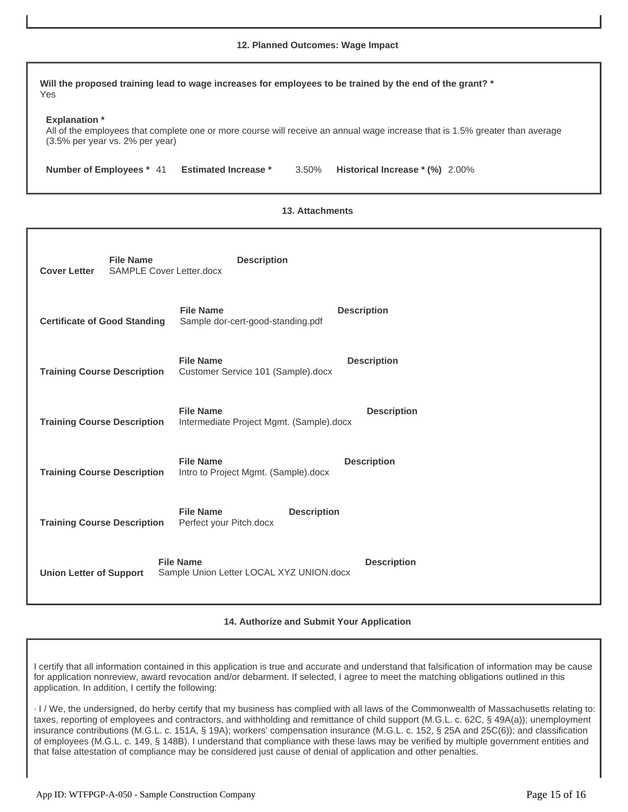## **12. Planned Outcomes: Wage Impact**

**Will the proposed training lead to wage increases for employees to be trained by the end of the grant? \* Explanation \* Number of Employees \* 41 Estimated Increase \* 3.50%** Yes All of the employees that complete one or more course will receive an annual wage increase that is 1.5% greater than average (3.5% per year vs. 2% per year) Historical Increase \* (%) 2.00%

#### **13. Attachments**

| <b>File Name</b><br><b>Cover Letter</b><br><b>SAMPLE Cover Letter.docx</b> | <b>Description</b>                                                                 |
|----------------------------------------------------------------------------|------------------------------------------------------------------------------------|
| <b>Certificate of Good Standing</b>                                        | <b>File Name</b><br><b>Description</b><br>Sample dor-cert-good-standing.pdf        |
| <b>Training Course Description</b>                                         | <b>File Name</b><br><b>Description</b><br>Customer Service 101 (Sample).docx       |
| <b>Training Course Description</b>                                         | <b>File Name</b><br><b>Description</b><br>Intermediate Project Mgmt. (Sample).docx |
| <b>Training Course Description</b>                                         | <b>File Name</b><br><b>Description</b><br>Intro to Project Mgmt. (Sample).docx     |
| <b>Training Course Description</b>                                         | <b>File Name</b><br><b>Description</b><br>Perfect your Pitch.docx                  |
| <b>Union Letter of Support</b>                                             | <b>File Name</b><br><b>Description</b><br>Sample Union Letter LOCAL XYZ UNION.docx |

**14. Authorize and Submit Your Application**

I certify that all information contained in this application is true and accurate and understand that falsification of information may be cause for application nonreview, award revocation and/or debarment. If selected, I agree to meet the matching obligations outlined in this application. In addition, I certify the following:

· I / We, the undersigned, do herby certify that my business has complied with all laws of the Commonwealth of Massachusetts relating to: taxes, reporting of employees and contractors, and withholding and remittance of child support (M.G.L. c. 62C, § 49A(a)); unemployment insurance contributions (M.G.L. c. 151A, § 19A); workers' compensation insurance (M.G.L. c. 152, § 25A and 25C(6)); and classification of employees (M.G.L. c. 149, § 148B). I understand that compliance with these laws may be verified by multiple government entities and that false attestation of compliance may be considered just cause of denial of application and other penalties.